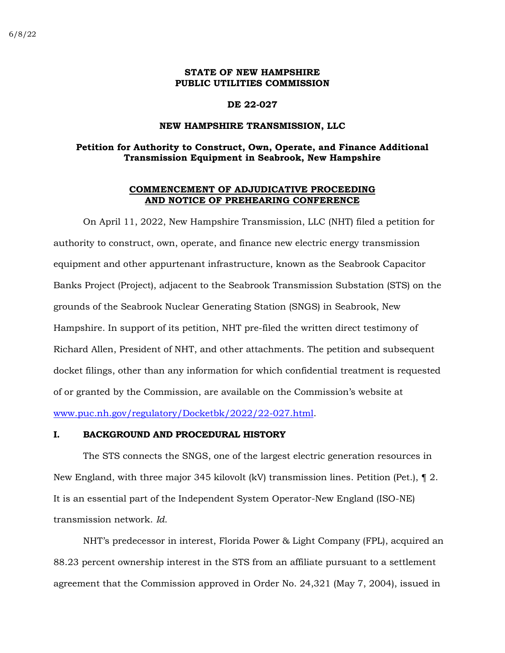# **STATE OF NEW HAMPSHIRE PUBLIC UTILITIES COMMISSION**

#### **DE 22-027**

#### **NEW HAMPSHIRE TRANSMISSION, LLC**

# **Petition for Authority to Construct, Own, Operate, and Finance Additional Transmission Equipment in Seabrook, New Hampshire**

## **COMMENCEMENT OF ADJUDICATIVE PROCEEDING AND NOTICE OF PREHEARING CONFERENCE**

On April 11, 2022, New Hampshire Transmission, LLC (NHT) filed a petition for authority to construct, own, operate, and finance new electric energy transmission equipment and other appurtenant infrastructure, known as the Seabrook Capacitor Banks Project (Project), adjacent to the Seabrook Transmission Substation (STS) on the grounds of the Seabrook Nuclear Generating Station (SNGS) in Seabrook, New Hampshire. In support of its petition, NHT pre-filed the written direct testimony of Richard Allen, President of NHT, and other attachments. The petition and subsequent docket filings, other than any information for which confidential treatment is requested of or granted by the Commission, are available on the Commission's website at [www.puc.nh.gov/regulatory/Docketbk/2022/22-027.html.](http://www.puc.nh.gov/regulatory/Docketbk/2022/22-027.html)

## **I. BACKGROUND AND PROCEDURAL HISTORY**

The STS connects the SNGS, one of the largest electric generation resources in New England, with three major 345 kilovolt (kV) transmission lines. Petition (Pet.), ¶ 2. It is an essential part of the Independent System Operator-New England (ISO-NE) transmission network. *Id.*

NHT's predecessor in interest, Florida Power & Light Company (FPL), acquired an 88.23 percent ownership interest in the STS from an affiliate pursuant to a settlement agreement that the Commission approved in Order No. 24,321 (May 7, 2004), issued in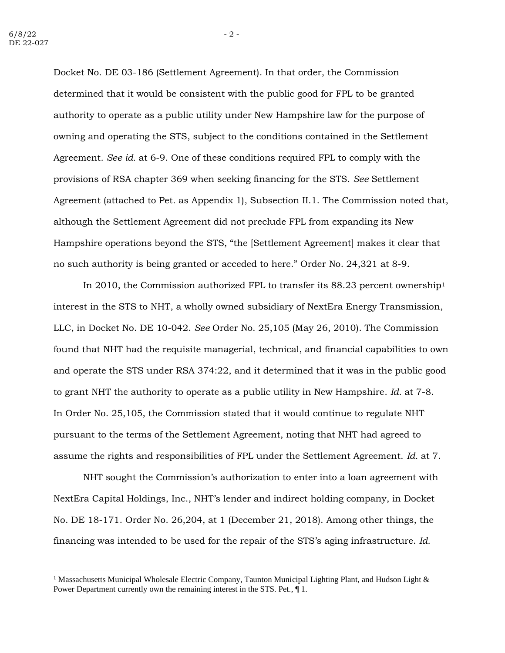Docket No. DE 03-186 (Settlement Agreement). In that order, the Commission determined that it would be consistent with the public good for FPL to be granted authority to operate as a public utility under New Hampshire law for the purpose of owning and operating the STS, subject to the conditions contained in the Settlement Agreement. *See id.* at 6-9. One of these conditions required FPL to comply with the provisions of RSA chapter 369 when seeking financing for the STS. *See* Settlement Agreement (attached to Pet. as Appendix 1), Subsection II.1. The Commission noted that, although the Settlement Agreement did not preclude FPL from expanding its New Hampshire operations beyond the STS, "the [Settlement Agreement] makes it clear that no such authority is being granted or acceded to here." Order No. 24,321 at 8-9.

In 2010, the Commission authorized FPL to transfer its 88.23 percent ownership<sup>1</sup> interest in the STS to NHT, a wholly owned subsidiary of NextEra Energy Transmission, LLC, in Docket No. DE 10-042. *See* Order No. 25,105 (May 26, 2010). The Commission found that NHT had the requisite managerial, technical, and financial capabilities to own and operate the STS under RSA 374:22, and it determined that it was in the public good to grant NHT the authority to operate as a public utility in New Hampshire. *Id.* at 7-8. In Order No. 25,105, the Commission stated that it would continue to regulate NHT pursuant to the terms of the Settlement Agreement, noting that NHT had agreed to assume the rights and responsibilities of FPL under the Settlement Agreement. *Id.* at 7.

NHT sought the Commission's authorization to enter into a loan agreement with NextEra Capital Holdings, Inc., NHT's lender and indirect holding company, in Docket No. DE 18-171. Order No. 26,204, at 1 (December 21, 2018). Among other things, the financing was intended to be used for the repair of the STS's aging infrastructure. *Id.*

<sup>&</sup>lt;sup>1</sup> Massachusetts Municipal Wholesale Electric Company, Taunton Municipal Lighting Plant, and Hudson Light  $\&$ Power Department currently own the remaining interest in the STS. Pet., ¶ 1.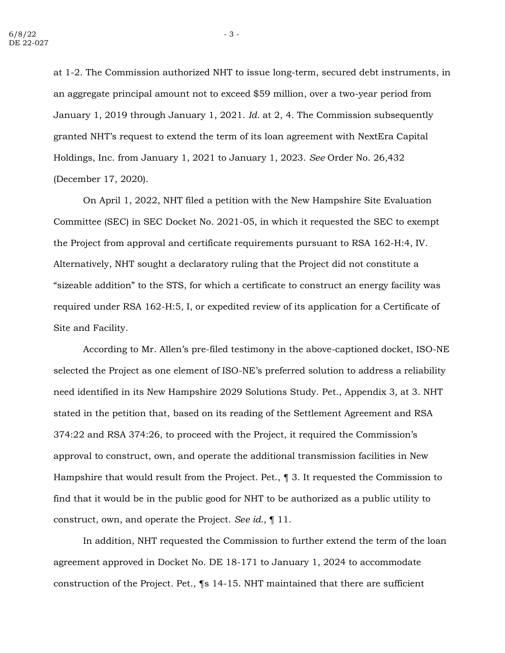at 1-2. The Commission authorized NHT to issue long-term, secured debt instruments, in an aggregate principal amount not to exceed \$59 million, over a two-year period from January 1, 2019 through January 1, 2021. *Id.* at 2, 4. The Commission subsequently granted NHT's request to extend the term of its loan agreement with NextEra Capital Holdings, Inc. from January 1, 2021 to January 1, 2023. *See* Order No. 26,432 (December 17, 2020).

On April 1, 2022, NHT filed a petition with the New Hampshire Site Evaluation Committee (SEC) in SEC Docket No. 2021-05, in which it requested the SEC to exempt the Project from approval and certificate requirements pursuant to RSA 162-H:4, IV. Alternatively, NHT sought a declaratory ruling that the Project did not constitute a "sizeable addition" to the STS, for which a certificate to construct an energy facility was required under RSA 162-H:5, I, or expedited review of its application for a Certificate of Site and Facility.

According to Mr. Allen's pre-filed testimony in the above-captioned docket, ISO-NE selected the Project as one element of ISO-NE's preferred solution to address a reliability need identified in its New Hampshire 2029 Solutions Study. Pet., Appendix 3*,* at 3. NHT stated in the petition that, based on its reading of the Settlement Agreement and RSA 374:22 and RSA 374:26, to proceed with the Project, it required the Commission's approval to construct, own, and operate the additional transmission facilities in New Hampshire that would result from the Project. Pet., ¶ 3. It requested the Commission to find that it would be in the public good for NHT to be authorized as a public utility to construct, own, and operate the Project. *See id.,* ¶ 11.

In addition, NHT requested the Commission to further extend the term of the loan agreement approved in Docket No. DE 18-171 to January 1, 2024 to accommodate construction of the Project. Pet., ¶s 14-15. NHT maintained that there are sufficient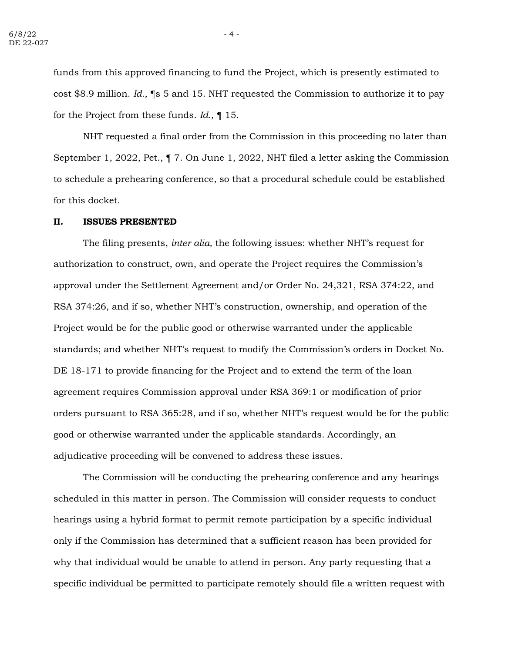funds from this approved financing to fund the Project, which is presently estimated to cost \$8.9 million. *Id.,* ¶s 5 and 15. NHT requested the Commission to authorize it to pay for the Project from these funds. *Id.,* ¶ 15.

NHT requested a final order from the Commission in this proceeding no later than September 1, 2022, Pet., ¶ 7. On June 1, 2022, NHT filed a letter asking the Commission to schedule a prehearing conference, so that a procedural schedule could be established for this docket.

## **II. ISSUES PRESENTED**

The filing presents, *inter alia,* the following issues: whether NHT's request for authorization to construct, own, and operate the Project requires the Commission's approval under the Settlement Agreement and/or Order No. 24,321, RSA 374:22, and RSA 374:26, and if so, whether NHT's construction, ownership, and operation of the Project would be for the public good or otherwise warranted under the applicable standards; and whether NHT's request to modify the Commission's orders in Docket No. DE 18-171 to provide financing for the Project and to extend the term of the loan agreement requires Commission approval under RSA 369:1 or modification of prior orders pursuant to RSA 365:28, and if so, whether NHT's request would be for the public good or otherwise warranted under the applicable standards. Accordingly, an adjudicative proceeding will be convened to address these issues.

The Commission will be conducting the prehearing conference and any hearings scheduled in this matter in person. The Commission will consider requests to conduct hearings using a hybrid format to permit remote participation by a specific individual only if the Commission has determined that a sufficient reason has been provided for why that individual would be unable to attend in person. Any party requesting that a specific individual be permitted to participate remotely should file a written request with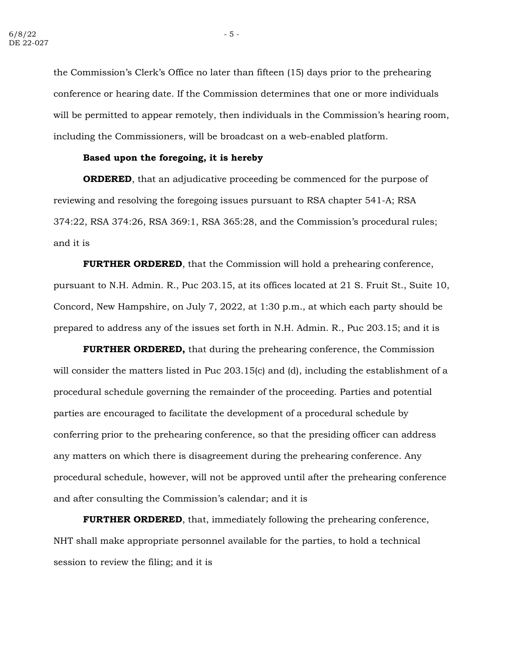the Commission's Clerk's Office no later than fifteen (15) days prior to the prehearing conference or hearing date. If the Commission determines that one or more individuals will be permitted to appear remotely, then individuals in the Commission's hearing room, including the Commissioners, will be broadcast on a web-enabled platform.

## **Based upon the foregoing, it is hereby**

**ORDERED**, that an adjudicative proceeding be commenced for the purpose of reviewing and resolving the foregoing issues pursuant to RSA chapter 541-A; RSA 374:22, RSA 374:26, RSA 369:1, RSA 365:28, and the Commission's procedural rules; and it is

**FURTHER ORDERED**, that the Commission will hold a prehearing conference, pursuant to N.H. Admin. R., Puc 203.15, at its offices located at 21 S. Fruit St., Suite 10, Concord, New Hampshire, on July 7, 2022, at 1:30 p.m., at which each party should be prepared to address any of the issues set forth in N.H. Admin. R., Puc 203.15; and it is

**FURTHER ORDERED,** that during the prehearing conference, the Commission will consider the matters listed in Puc 203.15(c) and (d), including the establishment of a procedural schedule governing the remainder of the proceeding. Parties and potential parties are encouraged to facilitate the development of a procedural schedule by conferring prior to the prehearing conference, so that the presiding officer can address any matters on which there is disagreement during the prehearing conference. Any procedural schedule, however, will not be approved until after the prehearing conference and after consulting the Commission's calendar; and it is

**FURTHER ORDERED**, that, immediately following the prehearing conference, NHT shall make appropriate personnel available for the parties, to hold a technical session to review the filing; and it is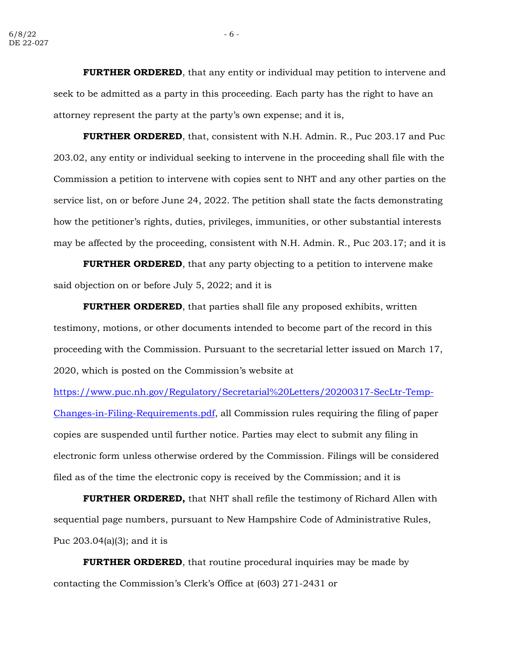**FURTHER ORDERED**, that any entity or individual may petition to intervene and seek to be admitted as a party in this proceeding. Each party has the right to have an attorney represent the party at the party's own expense; and it is,

**FURTHER ORDERED**, that, consistent with N.H. Admin. R., Puc 203.17 and Puc 203.02, any entity or individual seeking to intervene in the proceeding shall file with the Commission a petition to intervene with copies sent to NHT and any other parties on the service list, on or before June 24, 2022. The petition shall state the facts demonstrating how the petitioner's rights, duties, privileges, immunities, or other substantial interests may be affected by the proceeding, consistent with N.H. Admin. R., Puc 203.17; and it is

**FURTHER ORDERED**, that any party objecting to a petition to intervene make said objection on or before July 5, 2022; and it is

**FURTHER ORDERED**, that parties shall file any proposed exhibits, written testimony, motions, or other documents intended to become part of the record in this proceeding with the Commission. Pursuant to the secretarial letter issued on March 17, 2020, which is posted on the Commission's website at

[https://www.puc.nh.gov/Regulatory/Secretarial%20Letters/20200317-SecLtr-Temp-](https://www.puc.nh.gov/Regulatory/Secretarial%20Letters/20200317-SecLtr-Temp-Changes-in-Filing-Requirements.pdf)[Changes-in-Filing-Requirements.pdf,](https://www.puc.nh.gov/Regulatory/Secretarial%20Letters/20200317-SecLtr-Temp-Changes-in-Filing-Requirements.pdf) all Commission rules requiring the filing of paper copies are suspended until further notice. Parties may elect to submit any filing in electronic form unless otherwise ordered by the Commission. Filings will be considered filed as of the time the electronic copy is received by the Commission; and it is

**FURTHER ORDERED,** that NHT shall refile the testimony of Richard Allen with sequential page numbers, pursuant to New Hampshire Code of Administrative Rules, Puc 203.04(a)(3); and it is

**FURTHER ORDERED**, that routine procedural inquiries may be made by contacting the Commission's Clerk's Office at (603) 271-2431 or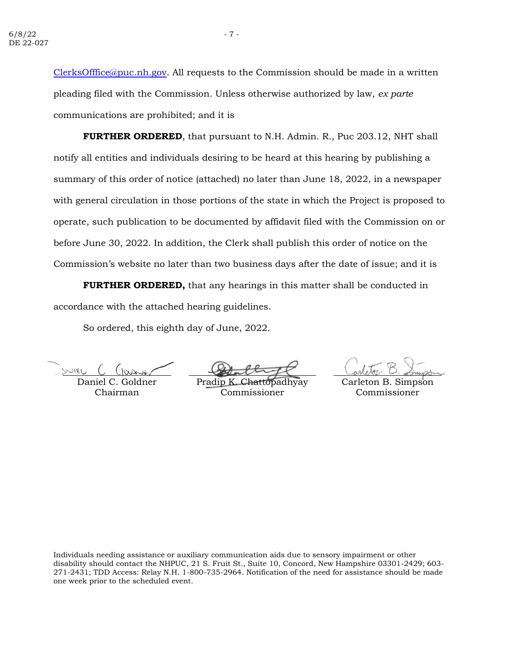[ClerksOfffice@puc.nh.gov.](mailto:ClerksOfffice@puc.nh.gov) All requests to the Commission should be made in a written pleading filed with the Commission. Unless otherwise authorized by law, *ex parte* communications are prohibited; and it is

**FURTHER ORDERED**, that pursuant to N.H. Admin. R., Puc 203.12, NHT shall notify all entities and individuals desiring to be heard at this hearing by publishing a summary of this order of notice (attached) no later than June 18, 2022, in a newspaper with general circulation in those portions of the state in which the Project is proposed to operate, such publication to be documented by affidavit filed with the Commission on or before June 30, 2022. In addition, the Clerk shall publish this order of notice on the Commission's website no later than two business days after the date of issue; and it is

**FURTHER ORDERED,** that any hearings in this matter shall be conducted in accordance with the attached hearing guidelines.

So ordered, this eighth day of June, 2022.

 $NIII$ 

Daniel C. Goldner Chairman

Pradip K Commissioner

Carleton B. Simpson Commissioner

Individuals needing assistance or auxiliary communication aids due to sensory impairment or other disability should contact the NHPUC, 21 S. Fruit St., Suite 10, Concord, New Hampshire 03301-2429; 603- 271-2431; TDD Access: Relay N.H. 1-800-735-2964. Notification of the need for assistance should be made one week prior to the scheduled event.